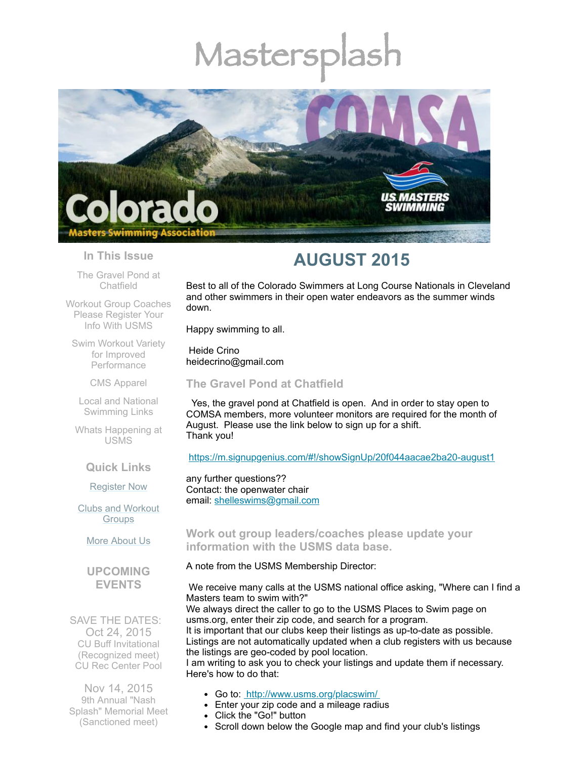# Mastersp



#### **In This Issue**

The Gravel Pond at [Chatfield](#page-0-0)

Workout Group [Coaches](#page-0-1) Please Register Your Info With USMS

Swim Workout Variety for Improved **[Performance](#page-1-0)** 

CMS [Apparel](#page-2-0)

Local and National [Swimming](#page-2-1) Links

Whats [Happening](#page-2-2) at USMS

**Quick Links**

[Register](http://comsa.org/joining/index.html) Now

Clubs and [Workout](http://comsa.org/clubs/index.html) **Groups** 

More [About](http://comsa.org/) Us

**UPCOMING EVENTS**

SAVE THE DATES: Oct 24, 2015 CU Buff Invitational (Recognized meet) CU Rec Center Pool

Nov 14, 2015 9th Annual "Nash Splash" Memorial Meet (Sanctioned meet)

# **AUGUST 2015**

Best to all of the Colorado Swimmers at Long Course Nationals in Cleveland and other swimmers in their open water endeavors as the summer winds down.

Happy swimming to all.

Heide Crino heidecrino@gmail.com

<span id="page-0-0"></span>**The Gravel Pond at Chatfield** 

Yes, the gravel pond at Chatfield is open. And in order to stay open to COMSA members, more volunteer monitors are required for the month of August. Please use the link below to sign up for a shift. Thank you!

<https://m.signupgenius.com/#!/showSignUp/20f044aacae2ba20-august1>

any further questions?? Contact: the openwater chair email: [shelleswims@gmail.com](mailto:shelleswims@gmail.com)

# <span id="page-0-1"></span>**Work out group leaders/coaches please update your information with the USMS data base.**

#### A note from the USMS Membership Director:

We receive many calls at the USMS national office asking, "Where can I find a Masters team to swim with?"

We always direct the caller to go to the USMS Places to Swim page on usms.org, enter their zip code, and search for a program. It is important that our clubs keep their listings as up-to-date as possible. Listings are not automatically updated when a club registers with us because the listings are geo-coded by pool location. I am writing to ask you to check your listings and update them if necessary.

Here's how to do that:

- Go to: <http://www.usms.org/placswim/>
- Enter your zip code and a mileage radius
- Click the "Go!" button
- Scroll down below the Google map and find your club's listings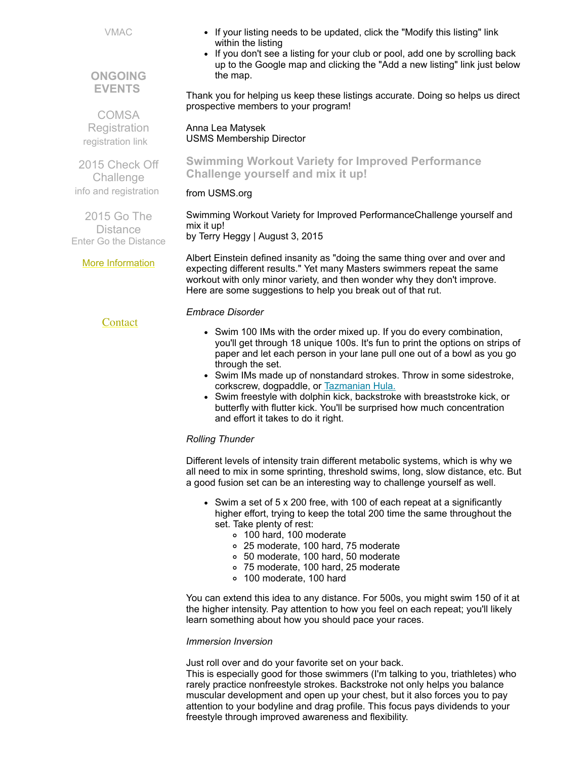VMAC

**ONGOING EVENTS**

**COMSA Registration** [registration](http://www.comsa.org/joining/index.html) link

• If your listing needs to be updated, click the "Modify this listing" link within the listing

• If you don't see a listing for your club or pool, add one by scrolling back up to the Google map and clicking the "Add a new listing" link just below the map.

Thank you for helping us keep these listings accurate. Doing so helps us direct prospective members to your program!

Anna Lea Matysek USMS Membership Director

2015 Check Off Challenge info and [registration](http://www.usms.org/fitness/content/checkoff) <span id="page-1-0"></span>**Swimming Workout Variety for Improved Performance Challenge yourself and mix it up!**

# from USMS.org

2015 Go The **Distance** Enter Go the [Distance](http://www.usms.org/fitness/enterflogevent.php) Swimming Workout Variety for Improved PerformanceChallenge yourself and mix it up! by Terry Heggy | August 3, 2015

More [Information](http://www.comsa.org/)

**[Contact](mailto:heidecrino@gmail.com?)** 

Albert Einstein defined insanity as "doing the same thing over and over and expecting different results." Yet many Masters swimmers repeat the same workout with only minor variety, and then wonder why they don't improve. Here are some suggestions to help you break out of that rut.

# *Embrace Disorder*

- Swim 100 IMs with the order mixed up. If you do every combination, you'll get through 18 unique 100s. It's fun to print the options on strips of paper and let each person in your lane pull one out of a bowl as you go through the set.
- Swim IMs made up of nonstandard strokes. Throw in some sidestroke, corkscrew, dogpaddle, or [Tazmanian](https://www.youtube.com/watch?v=bg0Icl-eph8) Hula.
- Swim freestyle with dolphin kick, backstroke with breaststroke kick, or butterfly with flutter kick. You'll be surprised how much concentration and effort it takes to do it right.

# *Rolling Thunder*

Different levels of intensity train different metabolic systems, which is why we all need to mix in some sprinting, threshold swims, long, slow distance, etc. But a good fusion set can be an interesting way to challenge yourself as well.

- Swim a set of 5 x 200 free, with 100 of each repeat at a significantly higher effort, trying to keep the total 200 time the same throughout the set. Take plenty of rest:
	- 100 hard, 100 moderate
	- 25 moderate, 100 hard, 75 moderate
	- 50 moderate, 100 hard, 50 moderate
	- 75 moderate, 100 hard, 25 moderate
	- 100 moderate, 100 hard

You can extend this idea to any distance. For 500s, you might swim 150 of it at the higher intensity. Pay attention to how you feel on each repeat; you'll likely learn something about how you should pace your races.

#### *Immersion Inversion*

Just roll over and do your favorite set on your back.

This is especially good for those swimmers (I'm talking to you, triathletes) who rarely practice nonfreestyle strokes. Backstroke not only helps you balance muscular development and open up your chest, but it also forces you to pay attention to your bodyline and drag profile. This focus pays dividends to your freestyle through improved awareness and flexibility.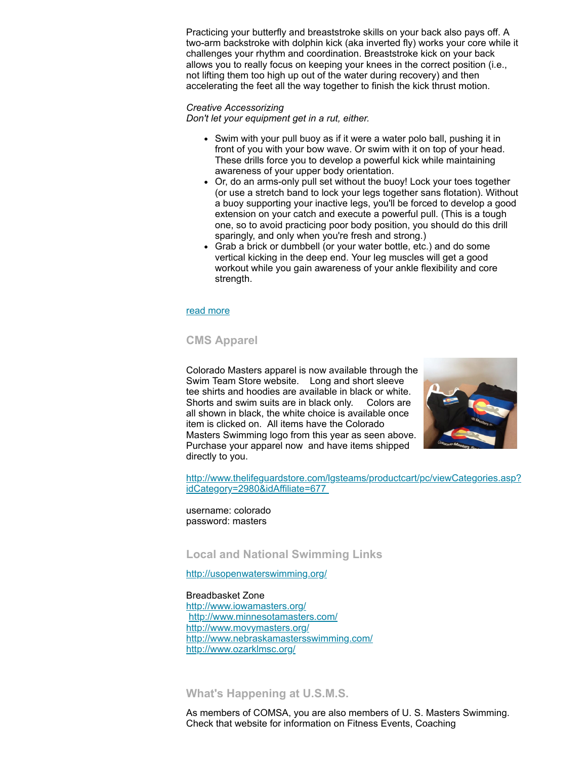Practicing your butterfly and breaststroke skills on your back also pays off. A two-arm backstroke with dolphin kick (aka inverted fly) works your core while it challenges your rhythm and coordination. Breaststroke kick on your back allows you to really focus on keeping your knees in the correct position (i.e., not lifting them too high up out of the water during recovery) and then accelerating the feet all the way together to finish the kick thrust motion.

#### *Creative Accessorizing*

*Don't let your equipment get in a rut, either.*

- Swim with your pull buoy as if it were a water polo ball, pushing it in front of you with your bow wave. Or swim with it on top of your head. These drills force you to develop a powerful kick while maintaining awareness of your upper body orientation.
- Or, do an arms-only pull set without the buoy! Lock your toes together (or use a stretch band to lock your legs together sans flotation). Without a buoy supporting your inactive legs, you'll be forced to develop a good extension on your catch and execute a powerful pull. (This is a tough one, so to avoid practicing poor body position, you should do this drill sparingly, and only when you're fresh and strong.)
- Grab a brick or dumbbell (or your water bottle, etc.) and do some vertical kicking in the deep end. Your leg muscles will get a good workout while you gain awareness of your ankle flexibility and core strength.

#### read [more](http://www.usms.org/articles/articledisplay.php?aid=3128)

#### <span id="page-2-0"></span>**CMS Apparel**

Colorado Masters apparel is now available through the Swim Team Store website. Long and short sleeve tee shirts and hoodies are available in black or white. Shorts and swim suits are in black only. Colors are all shown in black, the white choice is available once item is clicked on. All items have the Colorado Masters Swimming logo from this year as seen above. Purchase your apparel now and have items shipped directly to you.



[http://www.thelifeguardstore.com/lgsteams/productcart/pc/viewCategories.asp?](http://www.thelifeguardstore.com/lgsteams/productcart/pc/viewCategories.asp?idCategory=2980&idAffiliate=677) idCategory=2980&idAffiliate=677

username: colorado password: masters

<span id="page-2-1"></span>**Local and National Swimming Links**

<http://usopenwaterswimming.org/>

Breadbasket Zone <http://www.iowamasters.org/> <http://www.minnesotamasters.com/> <http://www.movymasters.org/> <http://www.nebraskamastersswimming.com/> <http://www.ozarklmsc.org/>

### <span id="page-2-2"></span>**What's Happening at U.S.M.S.**

As members of COMSA, you are also members of U. S. Masters Swimming. Check that website for information on Fitness Events, Coaching